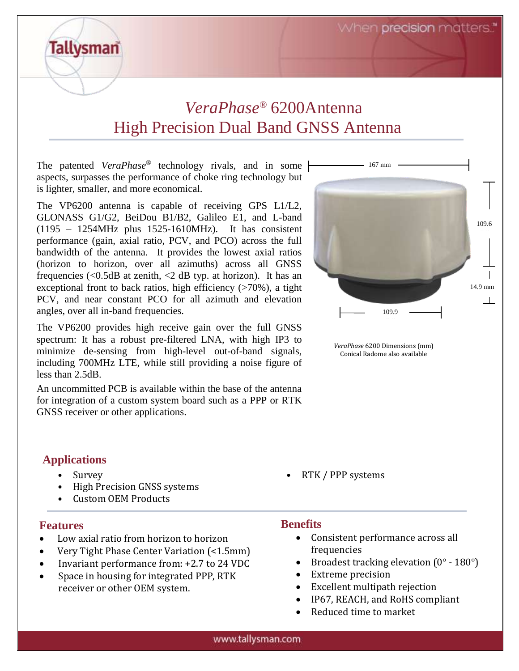When precision matters.

# *VeraPhase®* 6200Antenna High Precision Dual Band GNSS Antenna

The patented *VeraPhase*® technology rivals, and in some aspects, surpasses the performance of choke ring technology but is lighter, smaller, and more economical.

The VP6200 antenna is capable of receiving GPS L1/L2, GLONASS G1/G2, BeiDou B1/B2, Galileo E1, and L-band (1195 – 1254MHz plus 1525-1610MHz). It has consistent performance (gain, axial ratio, PCV, and PCO) across the full bandwidth of the antenna. It provides the lowest axial ratios (horizon to horizon, over all azimuths) across all GNSS frequencies  $\langle \langle 0.5dB \rangle$  at zenith,  $\langle 2 \rangle$  dB typ. at horizon). It has an exceptional front to back ratios, high efficiency  $($ >70%), a tight PCV, and near constant PCO for all azimuth and elevation angles, over all in-band frequencies.

The VP6200 provides high receive gain over the full GNSS spectrum: It has a robust pre-filtered LNA, with high IP3 to minimize de-sensing from high-level out-of-band signals, including 700MHz LTE, while still providing a noise figure of less than 2.5dB.

An uncommitted PCB is available within the base of the antenna for integration of a custom system board such as a PPP or RTK GNSS receiver or other applications.

### **Applications**

**Tallysman** 

- High Precision GNSS systems
- Custom OEM Products

### **Features**

- Low axial ratio from horizon to horizon
- Very Tight Phase Center Variation (<1.5mm)
- Invariant performance from: +2.7 to 24 VDC
- Space in housing for integrated PPP, RTK receiver or other OEM system.



*VeraPhase* 6200 Dimensions (mm) Conical Radome also available

• Survey • RTK / PPP systems

#### **Benefits**

- Consistent performance across all frequencies
- Broadest tracking elevation  $(0^\circ 180^\circ)$
- Extreme precision
- Excellent multipath rejection
- IP67, REACH, and RoHS compliant
- Reduced time to market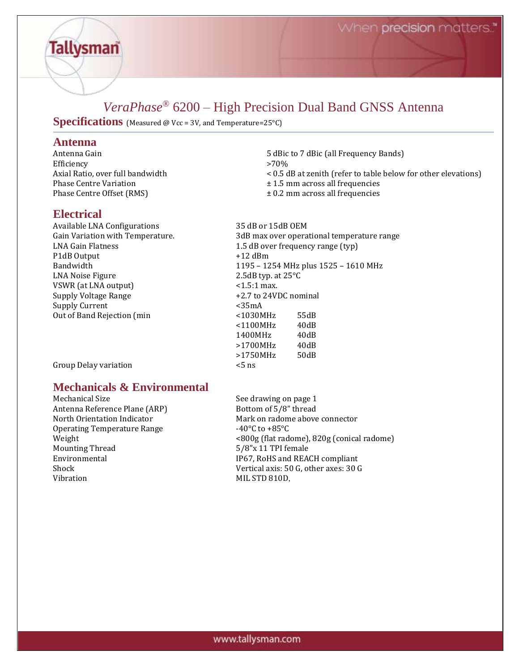# *VeraPhase®* 6200 – High Precision Dual Band GNSS Antenna

**Specifications** (Measured @ Vcc = 3V, and Temperature=25°C)

# **Antenna**

**Tallysman** 

Efficiency >70%<br>Axial Ratio, over full bandwidth < 0.5 d Phase Centre Variation ± 1.5 mm across all frequencies Phase Centre Offset (RMS)  $\pm 0.2$  mm across all frequencies

#### **Electrical**

Available LNA Configurations 35 dB or 15dB OEM P1dB Output  $+12$  dBm LNA Noise Figure 2.5dB typ. at 25°C VSWR (at LNA output)  $\leq 1.5:1$  max. Supply Voltage Range  $+2.7$  to 24VDC nominal Supply Current <35mA Out of Band Rejection (min  $<$  1030MHz 55dB

Group Delay variation  $\leq$  5 ns

## **Mechanicals & Environmental**

Antenna Reference Plane (ARP) Bottom of 5/8" thread Operating Temperature Range 40°C to +85°C Mounting Thread 5/8"x 11 TPI female Vibration MIL STD 810D,

Mechanical Size See drawing on page 1 North Orientation Indicator **Mark on radome above connector** Mark on radome above connector Weight <800g (flat radome), 820g (conical radome) Environmental **IP67, RoHS** and REACH compliant Shock Vertical axis: 50 G, other axes: 30 G

- 5 dBic to 7 dBic (all Frequency Bands)  $<$  0.5 dB at zenith (refer to table below for other elevations)
- 
- 

Gain Variation with Temperature. 3dB max over operational temperature range LNA Gain Flatness 2.5 dB over frequency range (typ) Bandwidth 1195 – 1254 MHz plus 1525 – 1610 MHz <1100MHz 40dB 1400MHz 40dB >1700MHz 40dB >1750MHz 50dB